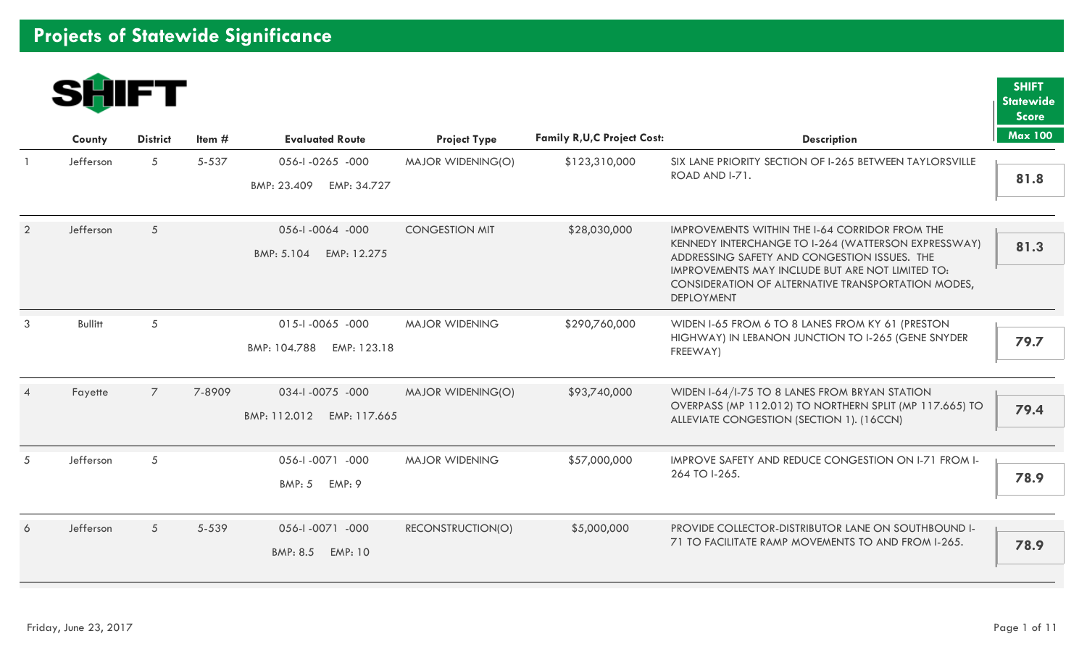

|                | County         | <b>District</b> | Item $#$ | <b>Evaluated Route</b>                          | <b>Project Type</b>   | <b>Family R, U, C Project Cost:</b> | <b>Description</b>                                                                                                                                                                                                                                                                   | <b>Max 100</b> |
|----------------|----------------|-----------------|----------|-------------------------------------------------|-----------------------|-------------------------------------|--------------------------------------------------------------------------------------------------------------------------------------------------------------------------------------------------------------------------------------------------------------------------------------|----------------|
|                | Jefferson      | 5 <sup>5</sup>  | 5-537    | 056-1-0265 -000<br>BMP: 23.409<br>EMP: 34.727   | MAJOR WIDENING(O)     | \$123,310,000                       | SIX LANE PRIORITY SECTION OF I-265 BETWEEN TAYLORSVILLE<br>ROAD AND I-71.                                                                                                                                                                                                            | 81.8           |
| $\overline{2}$ | Jefferson      | 5               |          | 056-1-0064 -000<br>BMP: 5.104<br>EMP: 12.275    | <b>CONGESTION MIT</b> | \$28,030,000                        | IMPROVEMENTS WITHIN THE I-64 CORRIDOR FROM THE<br>KENNEDY INTERCHANGE TO I-264 (WATTERSON EXPRESSWAY)<br>ADDRESSING SAFETY AND CONGESTION ISSUES. THE<br>IMPROVEMENTS MAY INCLUDE BUT ARE NOT LIMITED TO:<br>CONSIDERATION OF ALTERNATIVE TRANSPORTATION MODES,<br><b>DEPLOYMENT</b> | 81.3           |
| 3              | <b>Bullitt</b> | 5               |          | 015-1-0065 -000<br>EMP: 123.18<br>BMP: 104.788  | <b>MAJOR WIDENING</b> | \$290,760,000                       | WIDEN I-65 FROM 6 TO 8 LANES FROM KY 61 (PRESTON<br>HIGHWAY) IN LEBANON JUNCTION TO I-265 (GENE SNYDER<br>FREEWAY)                                                                                                                                                                   | 79.7           |
|                | Fayette        | $\overline{7}$  | 7-8909   | 034-1-0075 -000<br>BMP: 112.012<br>EMP: 117.665 | MAJOR WIDENING(O)     | \$93,740,000                        | WIDEN I-64/I-75 TO 8 LANES FROM BRYAN STATION<br>OVERPASS (MP 112.012) TO NORTHERN SPLIT (MP 117.665) TO<br>ALLEVIATE CONGESTION (SECTION 1). (16CCN)                                                                                                                                | 79.4           |
| 5              | Jefferson      | 5               |          | 056-1-0071 -000<br><b>BMP: 5</b><br>EMP: 9      | <b>MAJOR WIDENING</b> | \$57,000,000                        | <b>IMPROVE SAFETY AND REDUCE CONGESTION ON 1-71 FROM 1-</b><br>264 TO I-265.                                                                                                                                                                                                         | 78.9           |
| 6              | Jefferson      | 5 <sup>5</sup>  | 5-539    | 056-1-0071 -000<br>BMP: 8.5<br><b>EMP: 10</b>   | RECONSTRUCTION(O)     | \$5,000,000                         | PROVIDE COLLECTOR-DISTRIBUTOR LANE ON SOUTHBOUND I-<br>71 TO FACILITATE RAMP MOVEMENTS TO AND FROM I-265.                                                                                                                                                                            | 78.9           |

**SHIFT Statewide Score**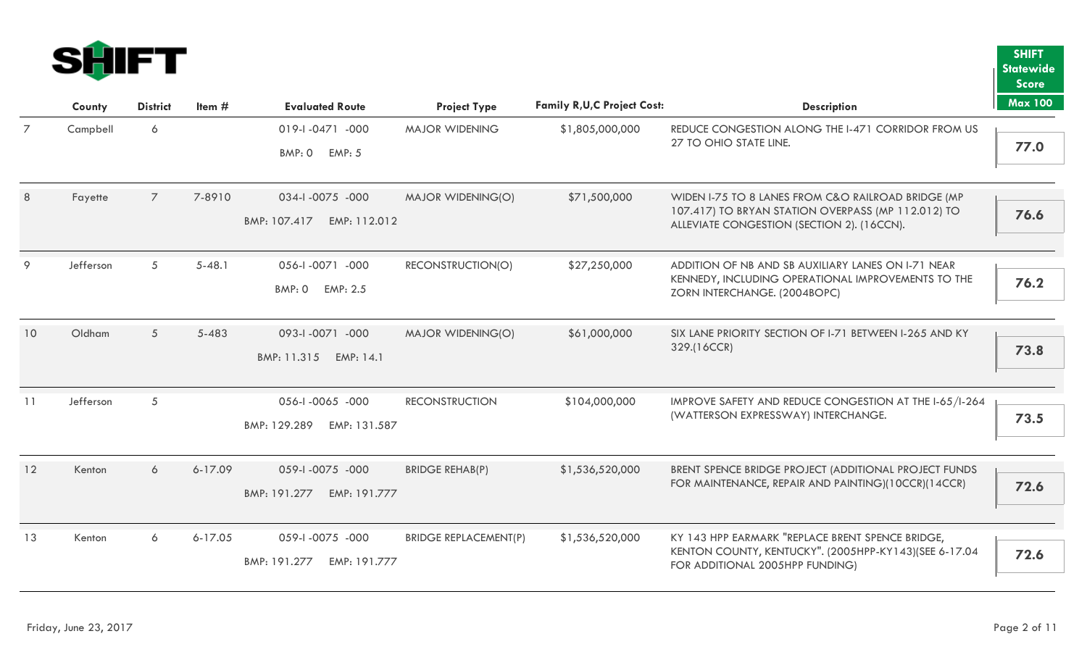

|                |           |                 |             |                              |                              |                                     |                                                                                                          | <b>Score</b>   |
|----------------|-----------|-----------------|-------------|------------------------------|------------------------------|-------------------------------------|----------------------------------------------------------------------------------------------------------|----------------|
|                | County    | <b>District</b> | Item#       | <b>Evaluated Route</b>       | <b>Project Type</b>          | <b>Family R, U, C Project Cost:</b> | <b>Description</b>                                                                                       | <b>Max 100</b> |
| $\overline{7}$ | Campbell  | 6               |             | 019-1-0471 -000              | <b>MAJOR WIDENING</b>        | \$1,805,000,000                     | REDUCE CONGESTION ALONG THE I-471 CORRIDOR FROM US                                                       |                |
|                |           |                 |             | BMP: 0<br><b>EMP: 5</b>      |                              |                                     | 27 TO OHIO STATE LINE.                                                                                   | 77.0           |
| 8              | Fayette   | $\overline{7}$  | 7-8910      | 034-1-0075 -000              | <b>MAJOR WIDENING(O)</b>     | \$71,500,000                        | WIDEN I-75 TO 8 LANES FROM C&O RAILROAD BRIDGE (MP<br>107.417) TO BRYAN STATION OVERPASS (MP 112.012) TO | 76.6           |
|                |           |                 |             | BMP: 107.417<br>EMP: 112.012 |                              |                                     | ALLEVIATE CONGESTION (SECTION 2). (16CCN).                                                               |                |
| 9              | Jefferson | 5               | $5 - 48.1$  | 056-1-0071 -000              | RECONSTRUCTION(O)            | \$27,250,000                        | ADDITION OF NB AND SB AUXILIARY LANES ON 1-71 NEAR                                                       |                |
|                |           |                 |             | BMP: 0<br>EMP: 2.5           |                              |                                     | KENNEDY, INCLUDING OPERATIONAL IMPROVEMENTS TO THE<br>ZORN INTERCHANGE. (2004BOPC)                       | 76.2           |
| 10             | Oldham    | 5               | 5-483       | 093-1-0071 -000              | <b>MAJOR WIDENING(O)</b>     | \$61,000,000                        | SIX LANE PRIORITY SECTION OF 1-71 BETWEEN 1-265 AND KY                                                   |                |
|                |           |                 |             | BMP: 11.315<br>EMP: 14.1     |                              |                                     | 329.(16CCR)                                                                                              | 73.8           |
| 11             | Jefferson | 5               |             | 056-1-0065 -000              | <b>RECONSTRUCTION</b>        | \$104,000,000                       | IMPROVE SAFETY AND REDUCE CONGESTION AT THE I-65/I-264                                                   |                |
|                |           |                 |             | BMP: 129.289<br>EMP: 131.587 |                              |                                     | (WATTERSON EXPRESSWAY) INTERCHANGE.                                                                      | 73.5           |
| 12             | Kenton    | 6               | 6-17.09     | 059-1-0075 -000              | <b>BRIDGE REHAB(P)</b>       | \$1,536,520,000                     | BRENT SPENCE BRIDGE PROJECT (ADDITIONAL PROJECT FUNDS                                                    |                |
|                |           |                 |             | EMP: 191.777<br>BMP: 191.277 |                              |                                     | FOR MAINTENANCE, REPAIR AND PAINTING)(10CCR)(14CCR)                                                      | 72.6           |
| 13             | Kenton    | 6               | $6 - 17.05$ | 059-1-0075 -000              | <b>BRIDGE REPLACEMENT(P)</b> | \$1,536,520,000                     | KY 143 HPP EARMARK "REPLACE BRENT SPENCE BRIDGE,                                                         |                |
|                |           |                 |             | BMP: 191.277<br>EMP: 191.777 |                              |                                     | KENTON COUNTY, KENTUCKY". (2005HPP-KY143)(SEE 6-17.04<br>FOR ADDITIONAL 2005HPP FUNDING)                 | 72.6           |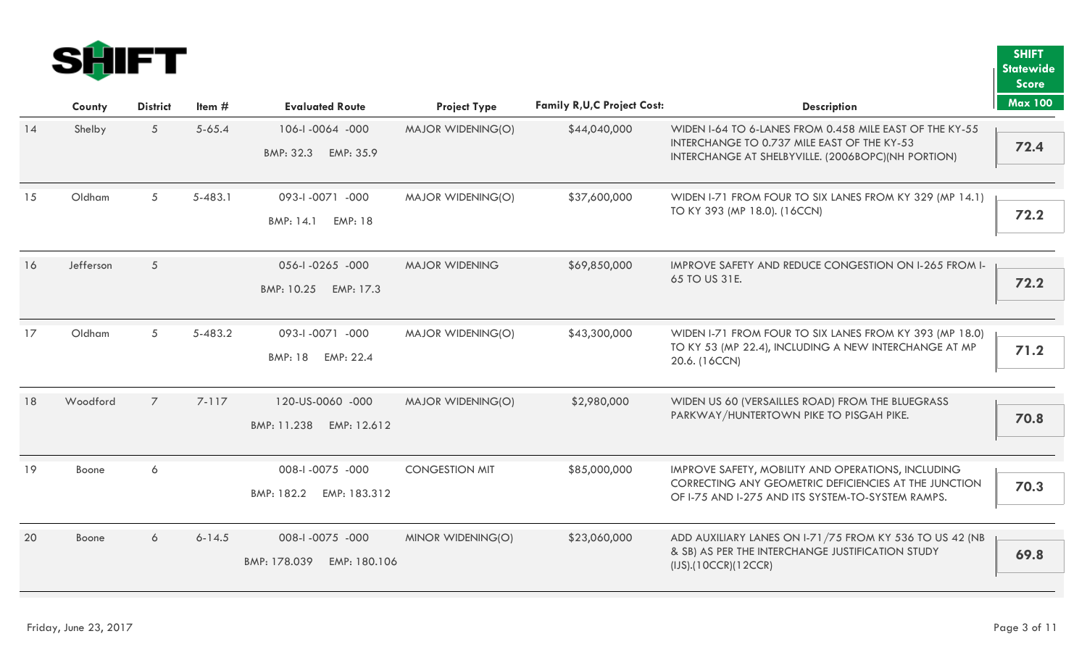

|    |           |                 |            |                              |                          |                                     |                                                                                                   | <b>Score</b>   |
|----|-----------|-----------------|------------|------------------------------|--------------------------|-------------------------------------|---------------------------------------------------------------------------------------------------|----------------|
|    | County    | <b>District</b> | Item $#$   | <b>Evaluated Route</b>       | <b>Project Type</b>      | <b>Family R, U, C Project Cost:</b> | <b>Description</b>                                                                                | <b>Max 100</b> |
| 14 | Shelby    | 5               | $5 - 65.4$ | 106-1-0064 -000              | MAJOR WIDENING(O)        | \$44,040,000                        | WIDEN I-64 TO 6-LANES FROM 0.458 MILE EAST OF THE KY-55                                           |                |
|    |           |                 |            | BMP: 32.3<br>EMP: 35.9       |                          |                                     | INTERCHANGE TO 0.737 MILE EAST OF THE KY-53<br>INTERCHANGE AT SHELBYVILLE. (2006BOPC)(NH PORTION) | 72.4           |
| 15 | Oldham    | 5               | 5-483.1    | 093-1-0071 -000              | MAJOR WIDENING(O)        | \$37,600,000                        | WIDEN I-71 FROM FOUR TO SIX LANES FROM KY 329 (MP 14.1)                                           |                |
|    |           |                 |            |                              |                          |                                     | TO KY 393 (MP 18.0). (16CCN)                                                                      | 72.2           |
|    |           |                 |            | BMP: 14.1<br><b>EMP: 18</b>  |                          |                                     |                                                                                                   |                |
| 16 | Jefferson | 5               |            | 056-1-0265 -000              | <b>MAJOR WIDENING</b>    | \$69,850,000                        | IMPROVE SAFETY AND REDUCE CONGESTION ON I-265 FROM I-                                             |                |
|    |           |                 |            | BMP: 10.25<br>EMP: 17.3      |                          |                                     | 65 TO US 31E.                                                                                     | 72.2           |
|    |           |                 |            |                              |                          |                                     |                                                                                                   |                |
| 17 | Oldham    | 5               | 5-483.2    | 093-1-0071 -000              | <b>MAJOR WIDENING(O)</b> | \$43,300,000                        | WIDEN I-71 FROM FOUR TO SIX LANES FROM KY 393 (MP 18.0)                                           |                |
|    |           |                 |            | EMP: 22.4<br>BMP: 18         |                          |                                     | TO KY 53 (MP 22.4), INCLUDING A NEW INTERCHANGE AT MP<br>20.6. (16CCN)                            | 71.2           |
|    |           |                 |            |                              |                          |                                     |                                                                                                   |                |
| 18 | Woodford  | $\overline{7}$  | 7-117      | 120-US-0060 -000             | MAJOR WIDENING(O)        | \$2,980,000                         | WIDEN US 60 (VERSAILLES ROAD) FROM THE BLUEGRASS                                                  |                |
|    |           |                 |            | BMP: 11.238<br>EMP: 12.612   |                          |                                     | PARKWAY/HUNTERTOWN PIKE TO PISGAH PIKE.                                                           | 70.8           |
|    |           |                 |            |                              |                          |                                     |                                                                                                   |                |
| 19 | Boone     | 6               |            | 008-1-0075 -000              | <b>CONGESTION MIT</b>    | \$85,000,000                        | IMPROVE SAFETY, MOBILITY AND OPERATIONS, INCLUDING                                                |                |
|    |           |                 |            | EMP: 183.312<br>BMP: 182.2   |                          |                                     | CORRECTING ANY GEOMETRIC DEFICIENCIES AT THE JUNCTION                                             | 70.3           |
|    |           |                 |            |                              |                          |                                     | OF I-75 AND I-275 AND ITS SYSTEM-TO-SYSTEM RAMPS.                                                 |                |
| 20 | Boone     | 6               | $6 - 14.5$ | 008-1-0075 -000              | MINOR WIDENING(O)        | \$23,060,000                        | ADD AUXILIARY LANES ON 1-71/75 FROM KY 536 TO US 42 (NB                                           |                |
|    |           |                 |            | BMP: 178.039<br>EMP: 180.106 |                          |                                     | & SB) AS PER THE INTERCHANGE JUSTIFICATION STUDY                                                  | 69.8           |
|    |           |                 |            |                              |                          |                                     | (IJS).(10CCR)(12CCR)                                                                              |                |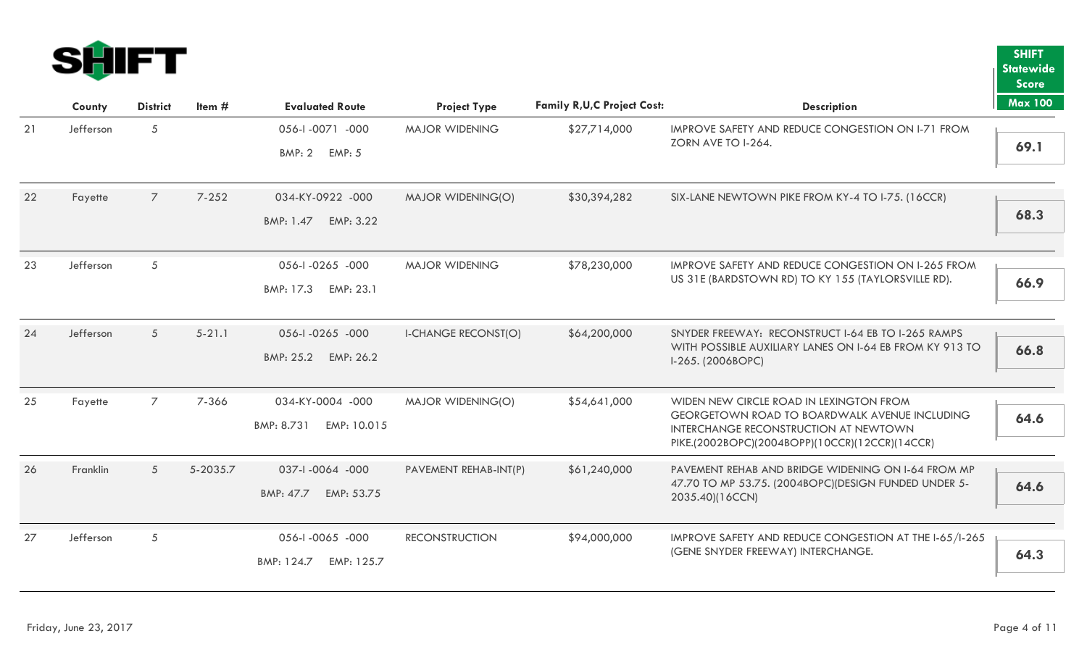

|    |           |                 |            |                           |                            |                                     |                                                                                                               | <b>Score</b>   |
|----|-----------|-----------------|------------|---------------------------|----------------------------|-------------------------------------|---------------------------------------------------------------------------------------------------------------|----------------|
|    | County    | <b>District</b> | Item $#$   | <b>Evaluated Route</b>    | <b>Project Type</b>        | <b>Family R, U, C Project Cost:</b> | <b>Description</b>                                                                                            | <b>Max 100</b> |
| 21 | Jefferson | 5               |            | 056-1-0071 -000           | <b>MAJOR WIDENING</b>      | \$27,714,000                        | IMPROVE SAFETY AND REDUCE CONGESTION ON I-71 FROM                                                             |                |
|    |           |                 |            | BMP: 2 EMP: 5             |                            |                                     | ZORN AVE TO I-264.                                                                                            | 69.1           |
| 22 | Fayette   | $\overline{7}$  | $7 - 252$  | 034-KY-0922 -000          | <b>MAJOR WIDENING(O)</b>   | \$30,394,282                        | SIX-LANE NEWTOWN PIKE FROM KY-4 TO I-75. (16CCR)                                                              |                |
|    |           |                 |            | BMP: 1.47 EMP: 3.22       |                            |                                     |                                                                                                               | 68.3           |
| 23 | Jefferson | 5               |            | 056-1-0265 -000           | <b>MAJOR WIDENING</b>      | \$78,230,000                        | IMPROVE SAFETY AND REDUCE CONGESTION ON 1-265 FROM                                                            |                |
|    |           |                 |            | BMP: 17.3<br>EMP: 23.1    |                            |                                     | US 31E (BARDSTOWN RD) TO KY 155 (TAYLORSVILLE RD).                                                            | 66.9           |
|    |           |                 |            |                           |                            |                                     |                                                                                                               |                |
| 24 | Jefferson | $5\overline{)}$ | $5 - 21.1$ | 056-1-0265 -000           | <b>I-CHANGE RECONST(O)</b> | \$64,200,000                        | SNYDER FREEWAY: RECONSTRUCT I-64 EB TO I-265 RAMPS<br>WITH POSSIBLE AUXILIARY LANES ON 1-64 EB FROM KY 913 TO |                |
|    |           |                 |            | BMP: 25.2 EMP: 26.2       |                            |                                     | I-265. (2006BOPC)                                                                                             | 66.8           |
| 25 | Fayette   | $\overline{7}$  | 7-366      | 034-KY-0004 -000          | MAJOR WIDENING(O)          | \$54,641,000                        | WIDEN NEW CIRCLE ROAD IN LEXINGTON FROM                                                                       |                |
|    |           |                 |            | BMP: 8.731<br>EMP: 10.015 |                            |                                     | GEORGETOWN ROAD TO BOARDWALK AVENUE INCLUDING<br>INTERCHANGE RECONSTRUCTION AT NEWTOWN                        | 64.6           |
|    |           |                 |            |                           |                            |                                     | PIKE.(2002BOPC)(2004BOPP)(10CCR)(12CCR)(14CCR)                                                                |                |
| 26 | Franklin  | 5               | 5-2035.7   | 037-1-0064 -000           | PAVEMENT REHAB-INT(P)      | \$61,240,000                        | PAVEMENT REHAB AND BRIDGE WIDENING ON I-64 FROM MP                                                            |                |
|    |           |                 |            | BMP: 47.7<br>EMP: 53.75   |                            |                                     | 47.70 TO MP 53.75. (2004BOPC)(DESIGN FUNDED UNDER 5-<br>2035.40)(16CCN)                                       | 64.6           |
| 27 | Jefferson | 5               |            | 056-1-0065 -000           | <b>RECONSTRUCTION</b>      | \$94,000,000                        | IMPROVE SAFETY AND REDUCE CONGESTION AT THE I-65/I-265                                                        |                |
|    |           |                 |            | BMP: 124.7<br>EMP: 125.7  |                            |                                     | (GENE SNYDER FREEWAY) INTERCHANGE.                                                                            | 64.3           |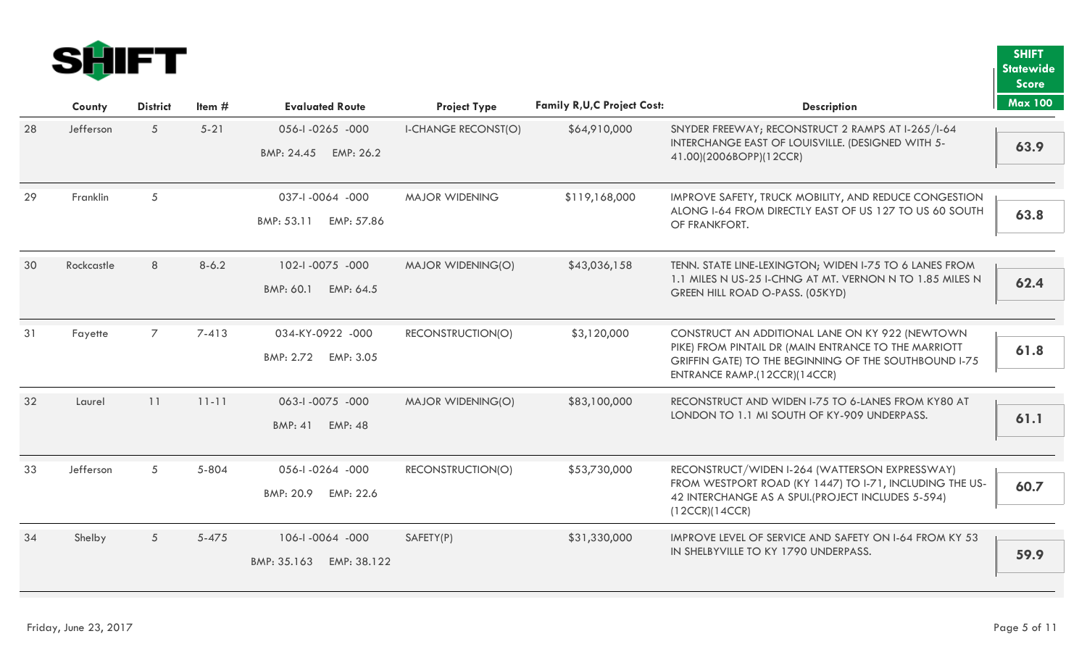

|    |            |                 |           |                                  |                            |                                     |                                                                                                               | <b>Score</b>   |
|----|------------|-----------------|-----------|----------------------------------|----------------------------|-------------------------------------|---------------------------------------------------------------------------------------------------------------|----------------|
|    | County     | <b>District</b> | Item $#$  | <b>Evaluated Route</b>           | <b>Project Type</b>        | <b>Family R, U, C Project Cost:</b> | <b>Description</b>                                                                                            | <b>Max 100</b> |
| 28 | Jefferson  | $5\overline{)}$ | $5 - 21$  | 056-1-0265 -000                  | <b>I-CHANGE RECONST(O)</b> | \$64,910,000                        | SNYDER FREEWAY; RECONSTRUCT 2 RAMPS AT I-265/I-64                                                             |                |
|    |            |                 |           | BMP: 24.45 EMP: 26.2             |                            |                                     | INTERCHANGE EAST OF LOUISVILLE. (DESIGNED WITH 5-<br>41.00)(2006BOPP)(12CCR)                                  | 63.9           |
| 29 | Franklin   | 5               |           | 037-1-0064 -000                  | <b>MAJOR WIDENING</b>      | \$119,168,000                       | IMPROVE SAFETY, TRUCK MOBILITY, AND REDUCE CONGESTION                                                         |                |
|    |            |                 |           | BMP: 53.11<br>EMP: 57.86         |                            |                                     | ALONG I-64 FROM DIRECTLY EAST OF US 127 TO US 60 SOUTH<br>OF FRANKFORT.                                       | 63.8           |
| 30 | Rockcastle | 8               | $8 - 6.2$ | 102-1-0075 -000                  | MAJOR WIDENING(O)          | \$43,036,158                        | TENN. STATE LINE-LEXINGTON; WIDEN I-75 TO 6 LANES FROM                                                        |                |
|    |            |                 |           | BMP: 60.1<br>EMP: 64.5           |                            |                                     | 1.1 MILES N US-25 I-CHNG AT MT. VERNON N TO 1.85 MILES N<br>GREEN HILL ROAD O-PASS. (05KYD)                   | 62.4           |
|    |            |                 |           |                                  |                            |                                     |                                                                                                               |                |
| 31 | Fayette    | $\overline{7}$  | $7-413$   | 034-KY-0922 -000                 | RECONSTRUCTION(O)          | \$3,120,000                         | CONSTRUCT AN ADDITIONAL LANE ON KY 922 (NEWTOWN                                                               |                |
|    |            |                 |           | BMP: 2.72 EMP: 3.05              |                            |                                     | PIKE) FROM PINTAIL DR (MAIN ENTRANCE TO THE MARRIOTT<br>GRIFFIN GATE) TO THE BEGINNING OF THE SOUTHBOUND I-75 | 61.8           |
|    |            |                 |           |                                  |                            |                                     | ENTRANCE RAMP.(12CCR)(14CCR)                                                                                  |                |
| 32 | Laurel     | 11              | $11 - 11$ | 063-1-0075 -000                  | MAJOR WIDENING(O)          | \$83,100,000                        | RECONSTRUCT AND WIDEN I-75 TO 6-LANES FROM KY80 AT                                                            |                |
|    |            |                 |           | <b>BMP: 41</b><br><b>EMP: 48</b> |                            |                                     | LONDON TO 1.1 MI SOUTH OF KY-909 UNDERPASS.                                                                   | 61.1           |
|    |            |                 |           |                                  |                            |                                     |                                                                                                               |                |
| 33 | Jefferson  | 5               | 5-804     | 056-1-0264 -000                  | RECONSTRUCTION(O)          | \$53,730,000                        | RECONSTRUCT/WIDEN I-264 (WATTERSON EXPRESSWAY)                                                                |                |
|    |            |                 |           | BMP: 20.9<br>EMP: 22.6           |                            |                                     | FROM WESTPORT ROAD (KY 1447) TO I-71, INCLUDING THE US-<br>42 INTERCHANGE AS A SPUI.(PROJECT INCLUDES 5-594)  | 60.7           |
|    |            |                 |           |                                  |                            |                                     | (12CCR)(14CCR)                                                                                                |                |
| 34 | Shelby     | $5\overline{)}$ | $5 - 475$ | 106-1-0064 -000                  | SAFETY(P)                  | \$31,330,000                        | IMPROVE LEVEL OF SERVICE AND SAFETY ON I-64 FROM KY 53                                                        |                |
|    |            |                 |           | EMP: 38.122<br>BMP: 35.163       |                            |                                     | IN SHELBYVILLE TO KY 1790 UNDERPASS.                                                                          | 59.9           |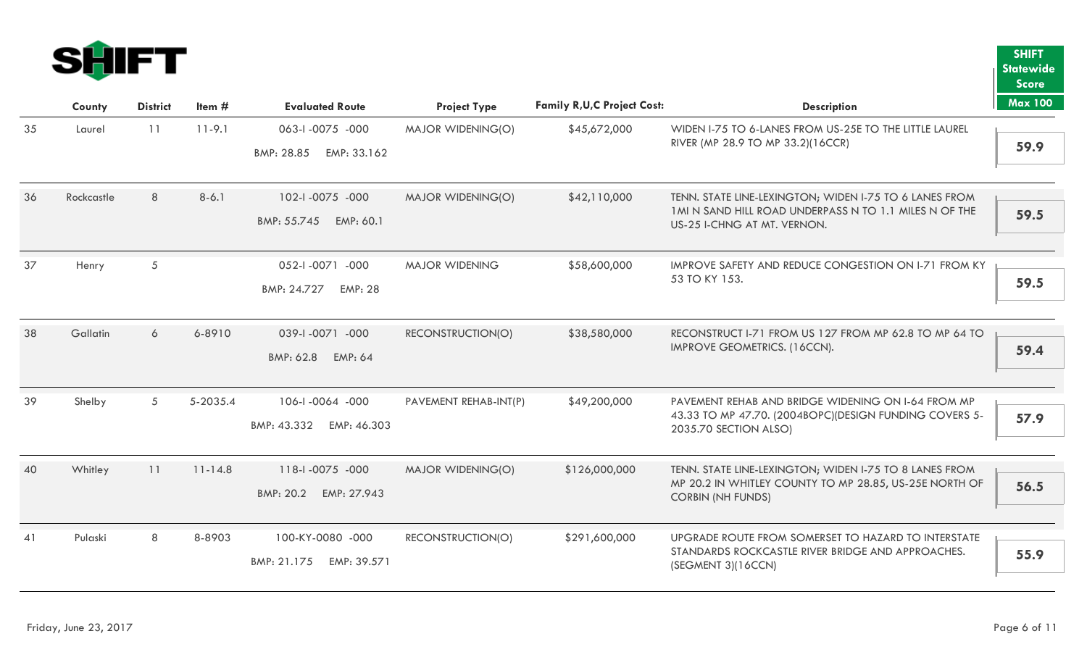

|    |            |                 |             |                               |                       |                                     |                                                                                        | <b>Score</b>   |
|----|------------|-----------------|-------------|-------------------------------|-----------------------|-------------------------------------|----------------------------------------------------------------------------------------|----------------|
|    | County     | <b>District</b> | Item $#$    | <b>Evaluated Route</b>        | <b>Project Type</b>   | <b>Family R, U, C Project Cost:</b> | <b>Description</b>                                                                     | <b>Max 100</b> |
| 35 | Laurel     | 11              | $11 - 9.1$  | 063-1-0075 -000               | MAJOR WIDENING(O)     | \$45,672,000                        | WIDEN I-75 TO 6-LANES FROM US-25E TO THE LITTLE LAUREL                                 |                |
|    |            |                 |             | EMP: 33.162<br>BMP: 28.85     |                       |                                     | RIVER (MP 28.9 TO MP 33.2)(16CCR)                                                      | 59.9           |
| 36 | Rockcastle | 8               | $8-6.1$     | 102-1-0075 -000               | MAJOR WIDENING(O)     | \$42,110,000                        | TENN. STATE LINE-LEXINGTON; WIDEN I-75 TO 6 LANES FROM                                 |                |
|    |            |                 |             | BMP: 55.745 EMP: 60.1         |                       |                                     | 1 MI N SAND HILL ROAD UNDERPASS N TO 1.1 MILES N OF THE<br>US-25 I-CHNG AT MT. VERNON. | 59.5           |
|    |            |                 |             |                               |                       |                                     |                                                                                        |                |
| 37 | Henry      | $\sqrt{5}$      |             | 052-1-0071 -000               | <b>MAJOR WIDENING</b> | \$58,600,000                        | IMPROVE SAFETY AND REDUCE CONGESTION ON I-71 FROM KY                                   |                |
|    |            |                 |             | BMP: 24.727<br><b>EMP: 28</b> |                       |                                     | 53 TO KY 153.                                                                          | 59.5           |
|    |            |                 |             |                               |                       |                                     |                                                                                        |                |
| 38 | Gallatin   | 6               | 6-8910      | 039-1-0071 -000               | RECONSTRUCTION(O)     | \$38,580,000                        | RECONSTRUCT I-71 FROM US 127 FROM MP 62.8 TO MP 64 TO                                  |                |
|    |            |                 |             | BMP: 62.8<br><b>EMP: 64</b>   |                       |                                     | IMPROVE GEOMETRICS. (16CCN).                                                           | 59.4           |
|    |            |                 |             |                               |                       |                                     |                                                                                        |                |
| 39 | Shelby     | 5               | 5-2035.4    | 106-1-0064 -000               | PAVEMENT REHAB-INT(P) | \$49,200,000                        | PAVEMENT REHAB AND BRIDGE WIDENING ON I-64 FROM MP                                     |                |
|    |            |                 |             | BMP: 43.332 EMP: 46.303       |                       |                                     | 43.33 TO MP 47.70. (2004BOPC)(DESIGN FUNDING COVERS 5-<br>2035.70 SECTION ALSO)        | 57.9           |
|    |            |                 |             |                               |                       |                                     |                                                                                        |                |
| 40 | Whitley    | 11              | $11 - 14.8$ | 118-1-0075 -000               | MAJOR WIDENING(O)     | \$126,000,000                       | TENN. STATE LINE-LEXINGTON; WIDEN I-75 TO 8 LANES FROM                                 |                |
|    |            |                 |             | BMP: 20.2<br>EMP: 27.943      |                       |                                     | MP 20.2 IN WHITLEY COUNTY TO MP 28.85, US-25E NORTH OF<br><b>CORBIN (NH FUNDS)</b>     | 56.5           |
|    |            |                 |             |                               |                       |                                     |                                                                                        |                |
| 41 | Pulaski    | 8               | 8-8903      | 100-KY-0080 -000              | RECONSTRUCTION(O)     | \$291,600,000                       | UPGRADE ROUTE FROM SOMERSET TO HAZARD TO INTERSTATE                                    |                |
|    |            |                 |             | BMP: 21.175<br>EMP: 39.571    |                       |                                     | STANDARDS ROCKCASTLE RIVER BRIDGE AND APPROACHES.<br>(SEGMENT 3)(16CCN)                | 55.9           |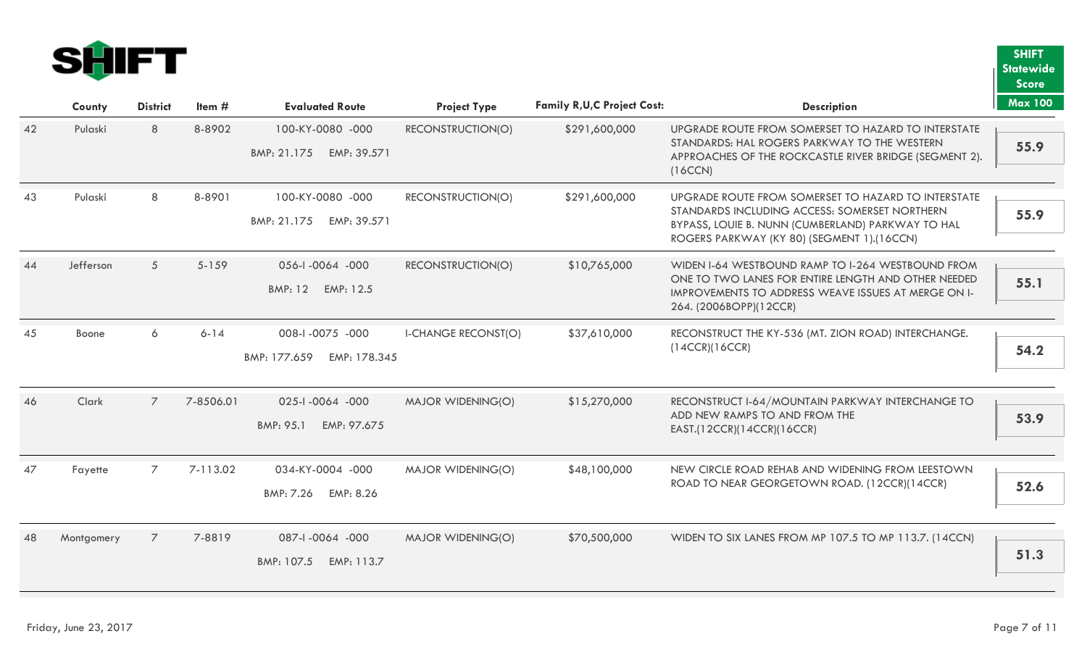

|    |            |                 |           |                              |                            |                                     |                                                                                                            | <b>Score</b>   |
|----|------------|-----------------|-----------|------------------------------|----------------------------|-------------------------------------|------------------------------------------------------------------------------------------------------------|----------------|
|    | County     | <b>District</b> | Item $#$  | <b>Evaluated Route</b>       | <b>Project Type</b>        | <b>Family R, U, C Project Cost:</b> | <b>Description</b>                                                                                         | <b>Max 100</b> |
| 42 | Pulaski    | 8               | 8-8902    | 100-KY-0080 -000             | RECONSTRUCTION(O)          | \$291,600,000                       | UPGRADE ROUTE FROM SOMERSET TO HAZARD TO INTERSTATE                                                        |                |
|    |            |                 |           | BMP: 21.175 EMP: 39.571      |                            |                                     | STANDARDS: HAL ROGERS PARKWAY TO THE WESTERN<br>APPROACHES OF THE ROCKCASTLE RIVER BRIDGE (SEGMENT 2).     | 55.9           |
|    |            |                 |           |                              |                            |                                     | (16CCN)                                                                                                    |                |
| 43 | Pulaski    | 8               | 8-8901    | 100-KY-0080 -000             | RECONSTRUCTION(O)          | \$291,600,000                       | UPGRADE ROUTE FROM SOMERSET TO HAZARD TO INTERSTATE                                                        |                |
|    |            |                 |           | BMP: 21.175<br>EMP: 39.571   |                            |                                     | STANDARDS INCLUDING ACCESS: SOMERSET NORTHERN<br>BYPASS, LOUIE B. NUNN (CUMBERLAND) PARKWAY TO HAL         | 55.9           |
|    |            |                 |           |                              |                            |                                     | ROGERS PARKWAY (KY 80) (SEGMENT 1).(16CCN)                                                                 |                |
| 44 | Jefferson  | 5 <sup>5</sup>  | $5 - 159$ | 056-1-0064 -000              | RECONSTRUCTION(O)          | \$10,765,000                        | WIDEN I-64 WESTBOUND RAMP TO I-264 WESTBOUND FROM                                                          |                |
|    |            |                 |           | EMP: 12.5<br>BMP: 12         |                            |                                     | ONE TO TWO LANES FOR ENTIRE LENGTH AND OTHER NEEDED<br>IMPROVEMENTS TO ADDRESS WEAVE ISSUES AT MERGE ON I- | 55.1           |
|    |            |                 |           |                              |                            |                                     | 264. (2006BOPP)(12CCR)                                                                                     |                |
| 45 | Boone      | 6               | $6 - 14$  | 008-1-0075 -000              | <b>I-CHANGE RECONST(O)</b> | \$37,610,000                        | RECONSTRUCT THE KY-536 (MT. ZION ROAD) INTERCHANGE.                                                        |                |
|    |            |                 |           | BMP: 177.659<br>EMP: 178.345 |                            |                                     | (14CCR)(16CCR)                                                                                             | 54.2           |
|    |            |                 |           |                              |                            |                                     |                                                                                                            |                |
| 46 | Clark      | $\overline{7}$  | 7-8506.01 | 025-1-0064 -000              | MAJOR WIDENING(O)          | \$15,270,000                        | RECONSTRUCT I-64/MOUNTAIN PARKWAY INTERCHANGE TO                                                           |                |
|    |            |                 |           | BMP: 95.1<br>EMP: 97.675     |                            |                                     | ADD NEW RAMPS TO AND FROM THE<br>EAST.(12CCR)(14CCR)(16CCR)                                                | 53.9           |
|    |            |                 |           |                              |                            |                                     |                                                                                                            |                |
| 47 | Fayette    | $\overline{7}$  | 7-113.02  | 034-KY-0004 -000             | MAJOR WIDENING(O)          | \$48,100,000                        | NEW CIRCLE ROAD REHAB AND WIDENING FROM LEESTOWN                                                           |                |
|    |            |                 |           | BMP: 7.26<br>EMP: 8.26       |                            |                                     | ROAD TO NEAR GEORGETOWN ROAD. (12CCR)(14CCR)                                                               | 52.6           |
|    |            |                 |           |                              |                            |                                     |                                                                                                            |                |
| 48 | Montgomery | $\overline{7}$  | 7-8819    | 087-1-0064 -000              | <b>MAJOR WIDENING(O)</b>   | \$70,500,000                        | WIDEN TO SIX LANES FROM MP 107.5 TO MP 113.7. (14CCN)                                                      |                |
|    |            |                 |           | BMP: 107.5<br>EMP: 113.7     |                            |                                     |                                                                                                            | 51.3           |
|    |            |                 |           |                              |                            |                                     |                                                                                                            |                |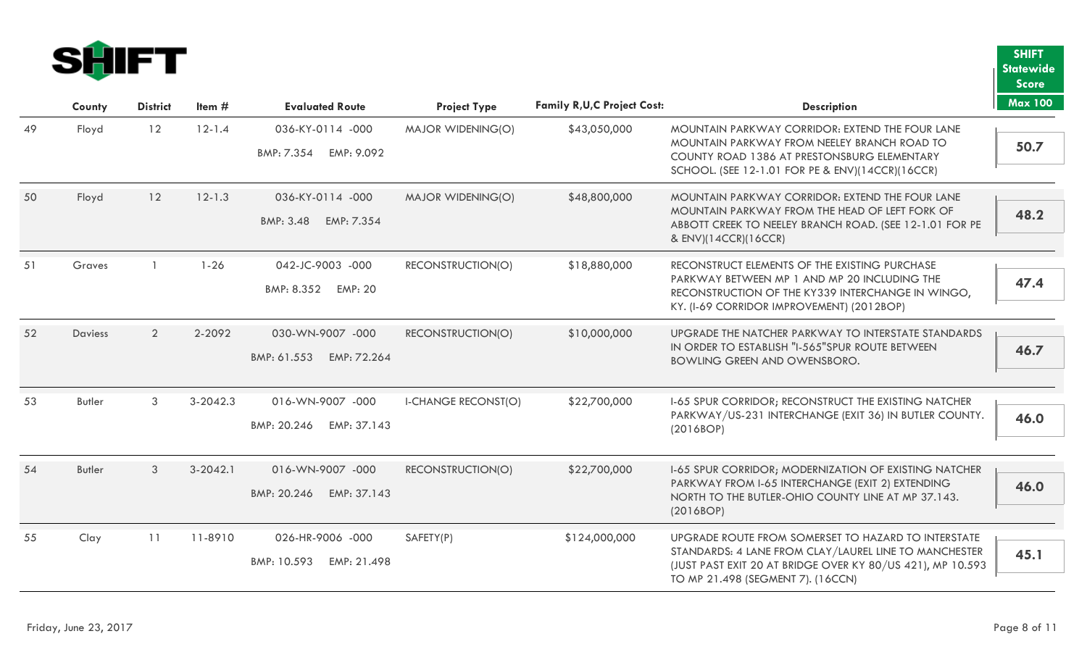

|    |         |                 |              |                                                  |                            |                                     |                                                                                                                                                                                                                 | <b>Score</b>   |
|----|---------|-----------------|--------------|--------------------------------------------------|----------------------------|-------------------------------------|-----------------------------------------------------------------------------------------------------------------------------------------------------------------------------------------------------------------|----------------|
|    | County  | <b>District</b> | Item $#$     | <b>Evaluated Route</b>                           | <b>Project Type</b>        | <b>Family R, U, C Project Cost:</b> | <b>Description</b>                                                                                                                                                                                              | <b>Max 100</b> |
| 49 | Floyd   | 12              | $12 - 1.4$   | 036-KY-0114 -000<br>EMP: 9.092<br>BMP: 7.354     | MAJOR WIDENING(O)          | \$43,050,000                        | MOUNTAIN PARKWAY CORRIDOR: EXTEND THE FOUR LANE<br>MOUNTAIN PARKWAY FROM NEELEY BRANCH ROAD TO<br>COUNTY ROAD 1386 AT PRESTONSBURG ELEMENTARY<br>SCHOOL. (SEE 12-1.01 FOR PE & ENV)(14CCR)(16CCR)               | 50.7           |
| 50 | Floyd   | 12              | $12 - 1.3$   | 036-KY-0114 -000<br>BMP: 3.48<br>EMP: 7.354      | <b>MAJOR WIDENING(O)</b>   | \$48,800,000                        | MOUNTAIN PARKWAY CORRIDOR: EXTEND THE FOUR LANE<br>MOUNTAIN PARKWAY FROM THE HEAD OF LEFT FORK OF<br>ABBOTT CREEK TO NEELEY BRANCH ROAD. (SEE 12-1.01 FOR PE<br>& ENV)(14CCR)(16CCR)                            | 48.2           |
| 51 | Graves  |                 | $1 - 26$     | 042-JC-9003 -000<br>BMP: 8.352<br><b>EMP: 20</b> | RECONSTRUCTION(O)          | \$18,880,000                        | RECONSTRUCT ELEMENTS OF THE EXISTING PURCHASE<br>PARKWAY BETWEEN MP 1 AND MP 20 INCLUDING THE<br>RECONSTRUCTION OF THE KY339 INTERCHANGE IN WINGO,<br>KY. (I-69 CORRIDOR IMPROVEMENT) (2012BOP)                 | 47.4           |
| 52 | Daviess | $\overline{2}$  | 2-2092       | 030-WN-9007 -000<br>BMP: 61.553<br>EMP: 72.264   | RECONSTRUCTION(O)          | \$10,000,000                        | UPGRADE THE NATCHER PARKWAY TO INTERSTATE STANDARDS<br>IN ORDER TO ESTABLISH "I-565" SPUR ROUTE BETWEEN<br><b>BOWLING GREEN AND OWENSBORO.</b>                                                                  | 46.7           |
| 53 | Butler  | 3               | $3 - 2042.3$ | 016-WN-9007 -000<br>BMP: 20.246<br>EMP: 37.143   | <b>I-CHANGE RECONST(O)</b> | \$22,700,000                        | 1-65 SPUR CORRIDOR; RECONSTRUCT THE EXISTING NATCHER<br>PARKWAY/US-231 INTERCHANGE (EXIT 36) IN BUTLER COUNTY.<br>(2016BOP)                                                                                     | 46.0           |
| 54 | Butler  | 3               | $3 - 2042.1$ | 016-WN-9007 -000<br>BMP: 20.246<br>EMP: 37.143   | RECONSTRUCTION(O)          | \$22,700,000                        | 1-65 SPUR CORRIDOR; MODERNIZATION OF EXISTING NATCHER<br>PARKWAY FROM I-65 INTERCHANGE (EXIT 2) EXTENDING<br>NORTH TO THE BUTLER-OHIO COUNTY LINE AT MP 37.143.<br>(2016BOP)                                    | 46.0           |
| 55 | Clay    | 11              | 11-8910      | 026-HR-9006 -000<br>BMP: 10.593<br>EMP: 21.498   | SAFETY(P)                  | \$124,000,000                       | UPGRADE ROUTE FROM SOMERSET TO HAZARD TO INTERSTATE<br>STANDARDS: 4 LANE FROM CLAY/LAUREL LINE TO MANCHESTER<br>(JUST PAST EXIT 20 AT BRIDGE OVER KY 80/US 421), MP 10.593<br>TO MP 21.498 (SEGMENT 7). (16CCN) | 45.1           |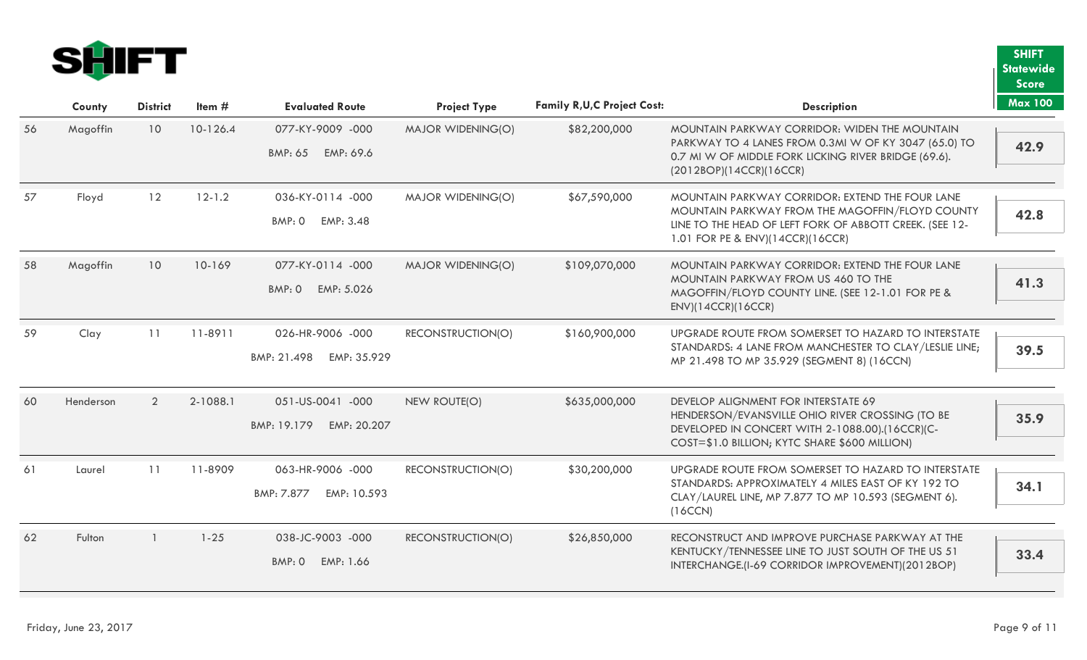

|    |           |                 |            |                            |                          |                                     |                                                                                                                                                     | <b>Score</b>   |
|----|-----------|-----------------|------------|----------------------------|--------------------------|-------------------------------------|-----------------------------------------------------------------------------------------------------------------------------------------------------|----------------|
|    | County    | <b>District</b> | Item $#$   | <b>Evaluated Route</b>     | <b>Project Type</b>      | <b>Family R, U, C Project Cost:</b> | <b>Description</b>                                                                                                                                  | <b>Max 100</b> |
| 56 | Magoffin  | 10              | 10-126.4   | 077-KY-9009 -000           | MAJOR WIDENING(O)        | \$82,200,000                        | MOUNTAIN PARKWAY CORRIDOR: WIDEN THE MOUNTAIN                                                                                                       |                |
|    |           |                 |            | BMP: 65 EMP: 69.6          |                          |                                     | PARKWAY TO 4 LANES FROM 0.3MI W OF KY 3047 (65.0) TO<br>0.7 MI W OF MIDDLE FORK LICKING RIVER BRIDGE (69.6).                                        | 42.9           |
|    |           |                 |            |                            |                          |                                     | (2012BOP)(14CCR)(16CCR)                                                                                                                             |                |
| 57 | Floyd     | 12              | $12 - 1.2$ | 036-KY-0114 -000           | <b>MAJOR WIDENING(O)</b> | \$67,590,000                        | MOUNTAIN PARKWAY CORRIDOR: EXTEND THE FOUR LANE<br>MOUNTAIN PARKWAY FROM THE MAGOFFIN/FLOYD COUNTY                                                  |                |
|    |           |                 |            | BMP: 0 EMP: 3.48           |                          |                                     | LINE TO THE HEAD OF LEFT FORK OF ABBOTT CREEK. (SEE 12-<br>1.01 FOR PE & ENV)(14CCR)(16CCR)                                                         | 42.8           |
| 58 | Magoffin  | 10 <sup>°</sup> | 10-169     | 077-KY-0114 -000           | MAJOR WIDENING(O)        | \$109,070,000                       | MOUNTAIN PARKWAY CORRIDOR: EXTEND THE FOUR LANE                                                                                                     |                |
|    |           |                 |            | BMP: 0<br>EMP: 5.026       |                          |                                     | MOUNTAIN PARKWAY FROM US 460 TO THE<br>MAGOFFIN/FLOYD COUNTY LINE. (SEE 12-1.01 FOR PE &                                                            | 41.3           |
|    |           |                 |            |                            |                          |                                     | ENV)(14CCR)(16CCR)                                                                                                                                  |                |
| 59 | Clay      | 11              | 11-8911    | 026-HR-9006 -000           | RECONSTRUCTION(O)        | \$160,900,000                       | UPGRADE ROUTE FROM SOMERSET TO HAZARD TO INTERSTATE                                                                                                 |                |
|    |           |                 |            | BMP: 21.498<br>EMP: 35.929 |                          |                                     | STANDARDS: 4 LANE FROM MANCHESTER TO CLAY/LESLIE LINE;<br>MP 21.498 TO MP 35.929 (SEGMENT 8) (16CCN)                                                | 39.5           |
|    |           |                 |            |                            |                          |                                     |                                                                                                                                                     |                |
| 60 | Henderson | 2               | 2-1088.1   | 051-US-0041 -000           | NEW ROUTE(O)             | \$635,000,000                       | DEVELOP ALIGNMENT FOR INTERSTATE 69                                                                                                                 |                |
|    |           |                 |            | BMP: 19.179<br>EMP: 20.207 |                          |                                     | HENDERSON/EVANSVILLE OHIO RIVER CROSSING (TO BE<br>DEVELOPED IN CONCERT WITH 2-1088.00).(16CCR)(C-<br>COST=\$1.0 BILLION; KYTC SHARE \$600 MILLION) | 35.9           |
|    |           |                 |            |                            |                          |                                     |                                                                                                                                                     |                |
| 61 | Laurel    | 11              | 11-8909    | 063-HR-9006 -000           | RECONSTRUCTION(O)        | \$30,200,000                        | UPGRADE ROUTE FROM SOMERSET TO HAZARD TO INTERSTATE<br>STANDARDS: APPROXIMATELY 4 MILES EAST OF KY 192 TO                                           |                |
|    |           |                 |            | BMP: 7.877<br>EMP: 10.593  |                          |                                     | CLAY/LAUREL LINE, MP 7.877 TO MP 10.593 (SEGMENT 6).                                                                                                | 34.1           |
|    |           |                 |            |                            |                          |                                     | (16CCN)                                                                                                                                             |                |
| 62 | Fulton    |                 | $1 - 25$   | 038-JC-9003 -000           | RECONSTRUCTION(O)        | \$26,850,000                        | RECONSTRUCT AND IMPROVE PURCHASE PARKWAY AT THE                                                                                                     |                |
|    |           |                 |            | EMP: 1.66<br>BMP: 0        |                          |                                     | KENTUCKY/TENNESSEE LINE TO JUST SOUTH OF THE US 51<br>INTERCHANGE.(I-69 CORRIDOR IMPROVEMENT)(2012BOP)                                              | 33.4           |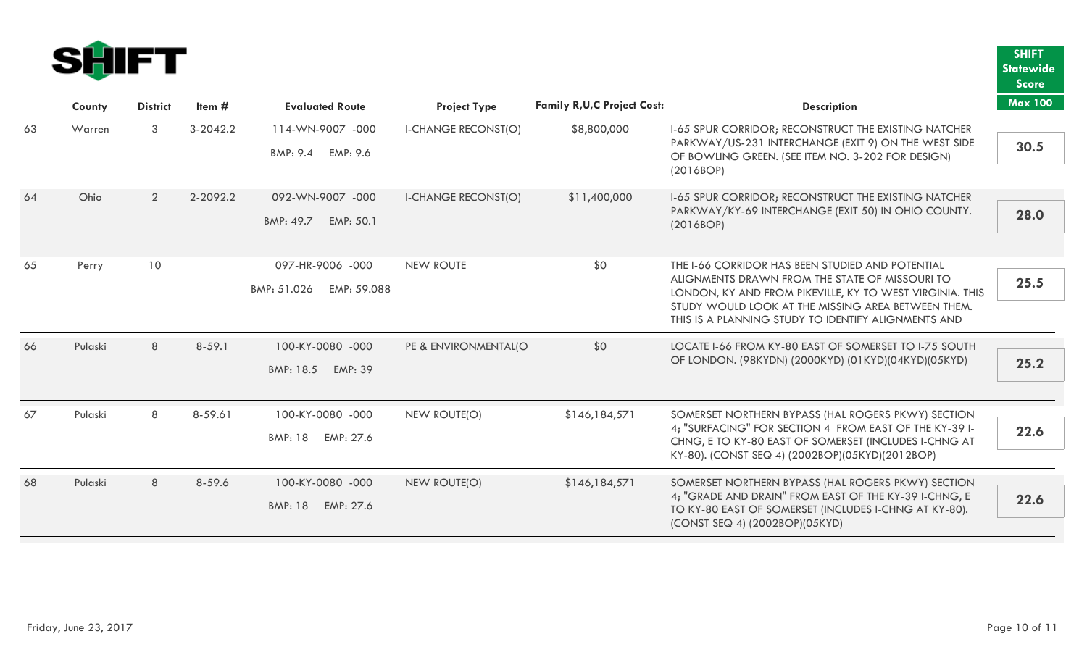

|    |         |                 |            |                                                 |                            |                                     |                                                                                                                                                                                                                                                                             | <b>Score</b>   |
|----|---------|-----------------|------------|-------------------------------------------------|----------------------------|-------------------------------------|-----------------------------------------------------------------------------------------------------------------------------------------------------------------------------------------------------------------------------------------------------------------------------|----------------|
|    | County  | <b>District</b> | Item $#$   | <b>Evaluated Route</b>                          | <b>Project Type</b>        | <b>Family R, U, C Project Cost:</b> | <b>Description</b>                                                                                                                                                                                                                                                          | <b>Max 100</b> |
| 63 | Warren  | 3               | $3-2042.2$ | 114-WN-9007 -000<br>BMP: 9.4 EMP: 9.6           | <b>I-CHANGE RECONST(O)</b> | \$8,800,000                         | 1-65 SPUR CORRIDOR; RECONSTRUCT THE EXISTING NATCHER<br>PARKWAY/US-231 INTERCHANGE (EXIT 9) ON THE WEST SIDE<br>OF BOWLING GREEN. (SEE ITEM NO. 3-202 FOR DESIGN)<br>(2016BOP)                                                                                              | 30.5           |
| 64 | Ohio    | $\overline{2}$  | 2-2092.2   | 092-WN-9007 -000<br>BMP: 49.7 EMP: 50.1         | <b>I-CHANGE RECONST(O)</b> | \$11,400,000                        | 1-65 SPUR CORRIDOR; RECONSTRUCT THE EXISTING NATCHER<br>PARKWAY/KY-69 INTERCHANGE (EXIT 50) IN OHIO COUNTY.<br>(2016BOP)                                                                                                                                                    | 28.0           |
| 65 | Perry   | 10              |            | 097-HR-9006 -000<br>BMP: 51.026<br>EMP: 59.088  | <b>NEW ROUTE</b>           | \$0                                 | THE 1-66 CORRIDOR HAS BEEN STUDIED AND POTENTIAL<br>ALIGNMENTS DRAWN FROM THE STATE OF MISSOURI TO<br>LONDON, KY AND FROM PIKEVILLE, KY TO WEST VIRGINIA. THIS<br>STUDY WOULD LOOK AT THE MISSING AREA BETWEEN THEM.<br>THIS IS A PLANNING STUDY TO IDENTIFY ALIGNMENTS AND | 25.5           |
| 66 | Pulaski | 8               | $8 - 59.1$ | 100-KY-0080 -000<br>BMP: 18.5 EMP: 39           | PE & ENVIRONMENTAL(O       | \$0                                 | LOCATE I-66 FROM KY-80 EAST OF SOMERSET TO I-75 SOUTH<br>OF LONDON. (98KYDN) (2000KYD) (01KYD)(04KYD)(05KYD)                                                                                                                                                                | 25.2           |
| 67 | Pulaski | 8               | 8-59.61    | 100-KY-0080 -000<br>BMP: 18<br>EMP: 27.6        | <b>NEW ROUTE(O)</b>        | \$146,184,571                       | SOMERSET NORTHERN BYPASS (HAL ROGERS PKWY) SECTION<br>4; "SURFACING" FOR SECTION 4 FROM EAST OF THE KY-39 I-<br>CHNG, E TO KY-80 EAST OF SOMERSET (INCLUDES I-CHNG AT<br>KY-80). (CONST SEQ 4) (2002BOP)(05KYD)(2012BOP)                                                    | 22.6           |
| 68 | Pulaski | 8               | 8-59.6     | 100-KY-0080 -000<br><b>BMP: 18</b><br>EMP: 27.6 | <b>NEW ROUTE(O)</b>        | \$146,184,571                       | SOMERSET NORTHERN BYPASS (HAL ROGERS PKWY) SECTION<br>4; "GRADE AND DRAIN" FROM EAST OF THE KY-39 I-CHNG, E<br>TO KY-80 EAST OF SOMERSET (INCLUDES I-CHNG AT KY-80).<br>(CONST SEQ 4) (2002BOP)(05KYD)                                                                      | 22.6           |